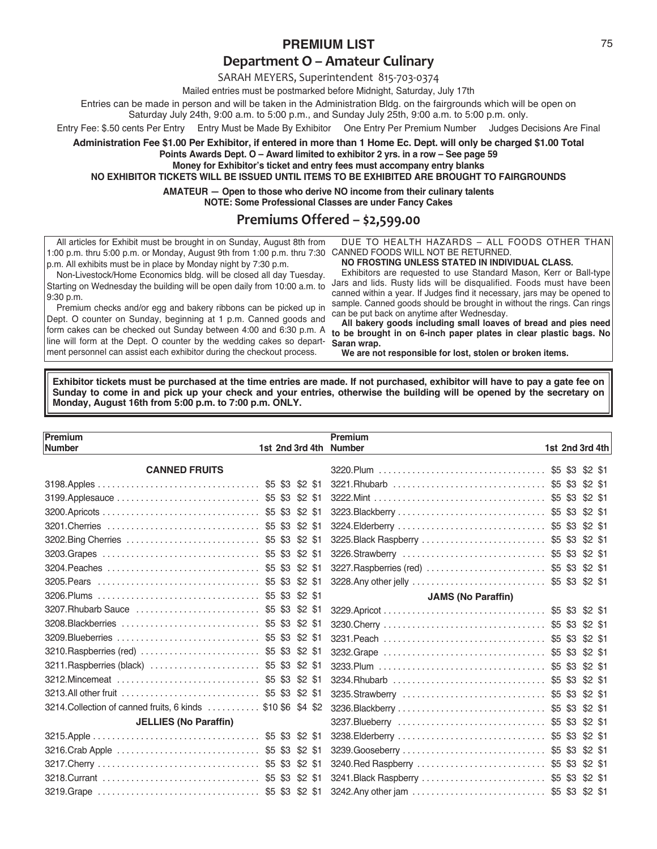## **PREMIUM LIST** 75

## **Department O – Amateur Culinary**

SARAH MEYERS, Superintendent 815‐703‐0374

Mailed entries must be postmarked before Midnight, Saturday, July 17th

Entries can be made in person and will be taken in the Administration Bldg. on the fairgrounds which will be open on

Saturday July 24th, 9:00 a.m. to 5:00 p.m., and Sunday July 25th, 9:00 a.m. to 5:00 p.m. only.

Entry Fee: \$.50 cents Per Entry Entry Must be Made By Exhibitor One Entry Per Premium Number Judges Decisions Are Final

**Administration Fee \$1.00 Per Exhibitor, if entered in more than 1 Home Ec. Dept. will only be charged \$1.00 Total Points Awards Dept. O – Award limited to exhibitor 2 yrs. in a row – See page 59**

**Money for Exhibitor's ticket and entry fees must accompany entry blanks NO EXHIBITOR TICKETS WILL BE ISSUED UNTIL ITEMS TO BE EXHIBITED ARE BROUGHT TO FAIRGROUNDS**

**AMATEUR — Open to those who derive NO income from their culinary talents**

**NOTE: Some Professional Classes are under Fancy Cakes**

## **Premiums Offered – \$2,599.00**

All articles for Exhibit must be brought in on Sunday, August 8th from 1:00 p.m. thru 5:00 p.m. or Monday, August 9th from 1:00 p.m. thru 7:30 CANNED FOODS WILL NOT BE RETURNED. p.m. All exhibits must be in place by Monday night by 7:30 p.m.

DUE TO HEALTH HAZARDS – ALL FOODS OTHER THAN

## **NO FROSTING UNLESS STATED IN INDIVIDUAL CLASS.**

Non-Livestock/Home Economics bldg. will be closed all day Tuesday. Starting on Wednesday the building will be open daily from 10:00 a.m. to 9:30 p.m.

Premium checks and/or egg and bakery ribbons can be picked up in Dept. O counter on Sunday, beginning at 1 p.m. Canned goods and form cakes can be checked out Sunday between 4:00 and 6:30 p.m. A line will form at the Dept. O counter by the wedding cakes so department personnel can assist each exhibitor during the checkout process.

Exhibitors are requested to use Standard Mason, Kerr or Ball-type Jars and lids. Rusty lids will be disqualified. Foods must have been canned within a year. If Judges find it necessary, jars may be opened to sample. Canned goods should be brought in without the rings. Can rings can be put back on anytime after Wednesday.

**All bakery goods including small loaves of bread and pies need to be brought in on 6-inch paper plates in clear plastic bags. No Saran wrap.**

**We are not responsible for lost, stolen or broken items.**

**Exhibitor tickets must be purchased at the time entries are made. If not purchased, exhibitor will have to pay a gate fee on Sunday to come in and pick up your check and your entries, otherwise the building will be opened by the secretary on Monday, August 16th from 5:00 p.m. to 7:00 p.m. ONLY.**

| Premium                                                      |  | Premium                                  |  |                 |
|--------------------------------------------------------------|--|------------------------------------------|--|-----------------|
| Number                                                       |  | 1st 2nd 3rd 4th Number                   |  | 1st 2nd 3rd 4th |
| <b>CANNED FRUITS</b>                                         |  |                                          |  |                 |
|                                                              |  |                                          |  |                 |
| 3199.Applesauce  \$5 \$3 \$2 \$1                             |  |                                          |  |                 |
|                                                              |  |                                          |  |                 |
|                                                              |  |                                          |  |                 |
|                                                              |  |                                          |  |                 |
| 3203.Grapes  \$5 \$3 \$2 \$1                                 |  | 3226.Strawberry  \$5 \$3 \$2 \$1         |  |                 |
|                                                              |  | 3227. Raspberries (red)  \$5 \$3 \$2 \$1 |  |                 |
|                                                              |  | 3228.Any other jelly  \$5 \$3 \$2 \$1    |  |                 |
|                                                              |  | <b>JAMS (No Paraffin)</b>                |  |                 |
|                                                              |  |                                          |  |                 |
| 3208. Blackberries          \$5 \$3 \$2 \$1                  |  |                                          |  |                 |
|                                                              |  |                                          |  |                 |
| 3210. Raspberries (red)  \$5 \$3 \$2 \$1                     |  |                                          |  |                 |
|                                                              |  |                                          |  |                 |
|                                                              |  | 3234. Rhubarb  \$5 \$3 \$2 \$1           |  |                 |
|                                                              |  |                                          |  |                 |
| 3214. Collection of canned fruits, 6 kinds  \$10 \$6 \$4 \$2 |  |                                          |  |                 |
| <b>JELLIES (No Paraffin)</b>                                 |  |                                          |  |                 |
|                                                              |  |                                          |  |                 |
| 3216.Crab Apple  \$5 \$3 \$2 \$1                             |  | 3239.Gooseberry  \$5 \$3 \$2 \$1         |  |                 |
|                                                              |  | 3240. Red Raspberry  \$5 \$3 \$2 \$1     |  |                 |
|                                                              |  | 3241. Black Raspberry  \$5 \$3 \$2 \$1   |  |                 |
|                                                              |  | 3242.Any other jam  \$5 \$3 \$2 \$1      |  |                 |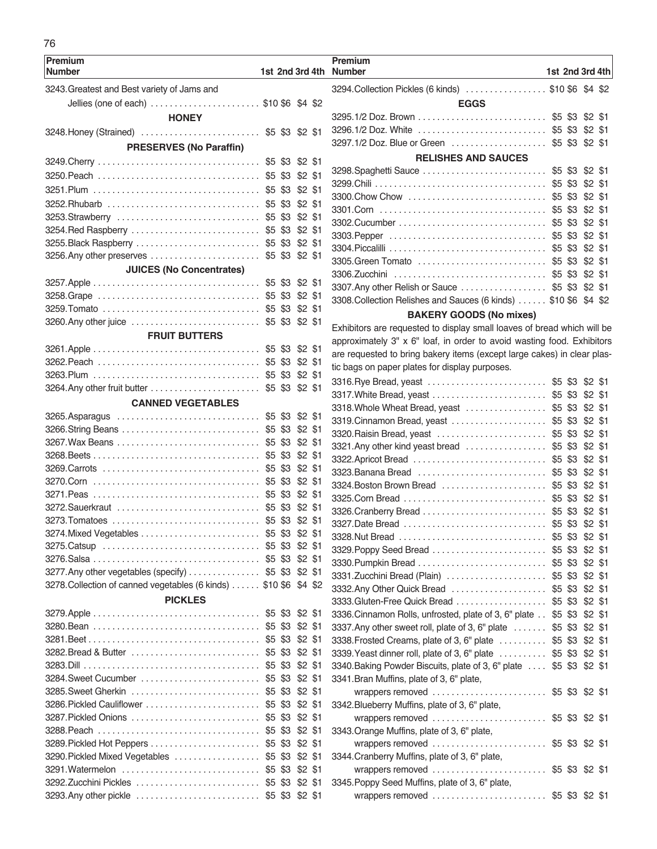| ٠       |
|---------|
|         |
| i<br>۰. |

| <b>Premium</b><br><b>Number</b>                                  |             |                 | 1st 2nd 3rd 4th | <b>Premium</b><br><b>Number</b> |
|------------------------------------------------------------------|-------------|-----------------|-----------------|---------------------------------|
| 3243. Greatest and Best variety of Jams and                      |             |                 |                 | 3294.Colle                      |
| Jellies (one of each) \$10\$6 \$4 \$2                            |             |                 |                 |                                 |
| <b>HONEY</b>                                                     |             |                 |                 | 3295.1/2 D                      |
| 3248. Honey (Strained)  \$5 \$3 \$2 \$1                          |             |                 |                 | 3296.1/2 D                      |
|                                                                  |             |                 |                 | 3297.1/2                        |
| <b>PRESERVES (No Paraffin)</b>                                   |             |                 |                 |                                 |
|                                                                  |             | \$5 \$3 \$2 \$1 |                 | 3298.Spa                        |
|                                                                  |             | $$2$ $$1$       |                 | 3299.Chili                      |
|                                                                  |             | $$2$ $$1$       |                 | 3300.Cho                        |
|                                                                  |             | $$2$ $$1$       |                 | 3301.Corr                       |
|                                                                  |             | \$2 \$1         |                 | 3302.Cuc                        |
|                                                                  |             | $$2$ $$1$       |                 | 3303.Pep                        |
| 3255. Black Raspberry  \$5 \$3 \$2 \$1                           |             |                 |                 | 3304.Picc                       |
|                                                                  | \$5 \$3     | \$2 \$1         |                 | 3305.Gree                       |
| <b>JUICES (No Concentrates)</b>                                  |             |                 |                 | 3306.Zuco                       |
|                                                                  |             |                 |                 | 3307.Any                        |
|                                                                  |             | $$2$ \$1        |                 | 3308.Colle                      |
|                                                                  | \$5 \$3     | $$2$ $$1$       |                 |                                 |
|                                                                  |             | $$2$ \$1        |                 | Exhibitors                      |
| <b>FRUIT BUTTERS</b>                                             |             |                 |                 | approxima                       |
|                                                                  |             | $$2$ $$1$       |                 | are reque                       |
|                                                                  |             | $$2$ \$1        |                 | tic bags or                     |
|                                                                  |             | $$2$ $$1$       |                 | 3316.Rye                        |
|                                                                  |             |                 |                 |                                 |
| <b>CANNED VEGETABLES</b>                                         |             |                 |                 | 3317. Whit<br>3318.Whc          |
|                                                                  |             | \$5 \$3 \$2 \$1 |                 | 3319.Cinn                       |
|                                                                  |             | \$5 \$3 \$2 \$1 |                 | 3320. Rais                      |
|                                                                  | \$5 \$3     | $$2$ \$1        |                 | 3321.Any                        |
|                                                                  | \$5 \$3     | $$2$ $$1$       |                 | 3322. Apri                      |
|                                                                  | \$5 \$3     | $$2$ \$1        |                 | 3323. Ban                       |
|                                                                  | \$5 \$3     | $$2$ \$1        |                 | 3324. Bost                      |
|                                                                  | \$5 \$3     | $$2$ \$1        |                 | 3325.Corr                       |
|                                                                  | \$5 \$3     | $$2$ \$1        |                 | 3326.Crar                       |
|                                                                  |             | \$5 \$3 \$2 \$1 |                 | 3327.Date                       |
|                                                                  | \$5 \$3     | $$2$ \$1        |                 | 3328.Nut                        |
|                                                                  |             | $$2$ \$1        |                 | 3329. Pop                       |
|                                                                  |             | $$2$ \$1        |                 | 3330.Pum                        |
| 3277.Any other vegetables (specify) \$5 \$3 \$2 \$1              |             |                 |                 | 3331.Zuco                       |
| 3278. Collection of canned vegetables (6 kinds) \$10 \$6 \$4 \$2 |             |                 |                 | 3332.Any                        |
| <b>PICKLES</b>                                                   |             |                 |                 | 3333. Glut                      |
|                                                                  | \$5 \$3     | $$2$ \$1        |                 | 3336.Cinn                       |
|                                                                  | \$5 \$3     | $$2$ \$1        |                 | 3337.Any                        |
|                                                                  | \$5 \$3     | $$2$ \$1        |                 | 3338. Fros                      |
|                                                                  | \$5 \$3     | $$2$ \$1        |                 | 3339. Yea                       |
|                                                                  | $$5\,$ $$3$ | $$2$ \$1        |                 | 3340. Baki                      |
|                                                                  | $$5\,$ $$3$ | $$2$ \$1        |                 | 3341.Brar                       |
|                                                                  | \$5 \$3     | $$2$ \$1        |                 | wrap                            |
| 3286. Pickled Cauliflower                                        | \$5 \$3     | $$2$ \$1        |                 | 3342.Blue                       |
|                                                                  | \$5 \$3     | $$2$ \$1        |                 | wrap                            |
|                                                                  | \$5 \$3     | $$2$ \$1        |                 | 3343.Orar                       |
|                                                                  | $$5$ \$3    | $$2$ \$1        |                 | wrap                            |
| 3290. Pickled Mixed Vegetables                                   | \$5 \$3     | $$2$ \$1        |                 | 3344.Crar                       |
|                                                                  | \$5 \$3     | $$2$ \$1        |                 | wrap                            |
|                                                                  | \$5 \$3     | $$2$ \$1        |                 | 3345.Pop                        |
| 3293.Any other pickle                                            |             | \$5 \$3 \$2 \$1 |                 | wrap                            |

| :h             | <b>Number</b>                                                           |     | 1st 2nd 3rd 4th |           |  |
|----------------|-------------------------------------------------------------------------|-----|-----------------|-----------|--|
|                | 3294. Collection Pickles (6 kinds)  \$10 \$6 \$4 \$2                    |     |                 |           |  |
| 2              | <b>EGGS</b>                                                             |     |                 |           |  |
|                |                                                                         |     |                 |           |  |
| 1              | 3296.1/2 Doz. White  \$5 \$3 \$2 \$1                                    |     |                 |           |  |
|                | 3297.1/2 Doz. Blue or Green  \$5 \$3 \$2 \$1                            |     |                 |           |  |
|                | <b>RELISHES AND SAUCES</b>                                              |     |                 |           |  |
| 1              |                                                                         |     |                 | $$2$ \$1  |  |
| 1              |                                                                         |     | \$3             | \$2 \$1   |  |
| 1              | 3300. Chow Chow                                                         | \$5 | \$3             | $$2$ $$1$ |  |
| 1              |                                                                         | \$5 | \$3             | $$2$ $$1$ |  |
| 1              |                                                                         | \$5 | \$3             | $$2$ $$1$ |  |
| 1              |                                                                         | \$5 | \$3             | \$2 \$1   |  |
| 1              |                                                                         | \$5 | \$3             | \$2 \$1   |  |
| 1              |                                                                         | \$5 | \$3             | \$2 \$1   |  |
|                | 3306.Zucchini                                                           | \$5 | \$3             | \$2 \$1   |  |
| 1              | 3307. Any other Relish or Sauce                                         | \$5 | \$3             | $$2$ $$1$ |  |
| 1              | 3308. Collection Relishes and Sauces (6 kinds)  \$10 \$6                |     |                 | \$4 \$2   |  |
| 1              |                                                                         |     |                 |           |  |
| 1              | <b>BAKERY GOODS (No mixes)</b>                                          |     |                 |           |  |
|                | Exhibitors are requested to display small loaves of bread which will be |     |                 |           |  |
| 1              | approximately 3" x 6" loaf, in order to avoid wasting food. Exhibitors  |     |                 |           |  |
| 1              | are requested to bring bakery items (except large cakes) in clear plas- |     |                 |           |  |
| 1              | tic bags on paper plates for display purposes.                          |     |                 |           |  |
| 1              | 3316. Rye Bread, yeast  \$5 \$3 \$2 \$1                                 |     |                 |           |  |
|                |                                                                         |     |                 |           |  |
|                | 3318. Whole Wheat Bread, yeast  \$5 \$3                                 |     |                 | $$2$ \$1  |  |
| 1              | 3319. Cinnamon Bread, yeast                                             |     | \$5 \$3         | $$2$ \$1  |  |
| 1              | 3320. Raisin Bread, yeast                                               |     | \$5 \$3         | $$2$ \$1  |  |
| 1              | 3321.Any other kind yeast bread  \$5 \$3                                |     |                 | $$2$ \$1  |  |
| 1              |                                                                         |     | \$5 \$3         | $$2$ \$1  |  |
| 1              |                                                                         |     | \$5 \$3         | $$2$ \$1  |  |
| 1              | 3324. Boston Brown Bread                                                | \$5 | \$3             | $$2$ \$1  |  |
| 1              |                                                                         | \$5 | \$3             | $$2$ \$1  |  |
| 1              |                                                                         | \$5 | \$3             | $$2$ \$1  |  |
| 1              |                                                                         | \$5 | \$3             | $$2$ \$1  |  |
| 1              |                                                                         |     | \$5 \$3         | $$2$ \$1  |  |
| 1              | 3329. Poppy Seed Bread                                                  |     | \$5 \$3 \$2 \$1 |           |  |
| 1              |                                                                         |     | \$5 \$3         | $$2$ \$1  |  |
| 1              | 3331. Zucchini Bread (Plain)                                            |     | \$5 \$3         | $$2$ \$1  |  |
| $\overline{c}$ | 3332. Any Other Quick Bread                                             | \$5 | \$3             | $$2$ \$1  |  |
|                |                                                                         | \$5 | \$3             | $$2$ \$1  |  |
| 1              | 3336. Cinnamon Rolls, unfrosted, plate of 3, 6" plate                   | \$5 | \$3             | $$2$ \$1  |  |
| 1              | 3337. Any other sweet roll, plate of 3, 6" plate                        | \$5 | \$3             | $$2$ \$1  |  |
| 1              | 3338. Frosted Creams, plate of 3, 6" plate                              |     | \$5 \$3         | $$2$ \$1  |  |
| 1              | 3339. Yeast dinner roll, plate of 3, 6" plate                           |     | \$5 \$3         | $$2$ \$1  |  |
| 1              | 3340. Baking Powder Biscuits, plate of 3, 6" plate  \$5 \$3             |     |                 | $$2$ \$1  |  |
| 1              | 3341. Bran Muffins, plate of 3, 6" plate,                               |     |                 |           |  |
| 1              | wrappers removed  \$5 \$3 \$2 \$1                                       |     |                 |           |  |
| 1              | 3342. Blueberry Muffins, plate of 3, 6" plate,                          |     |                 |           |  |
| 1              | wrappers removed                                                        |     | \$5 \$3 \$2 \$1 |           |  |
| 1              | 3343. Orange Muffins, plate of 3, 6" plate,                             |     |                 |           |  |
| 1              | wrappers removed  \$5 \$3 \$2 \$1                                       |     |                 |           |  |
| 1              | 3344. Cranberry Muffins, plate of 3, 6" plate,                          |     |                 |           |  |
| 1              | wrappers removed  \$5 \$3 \$2 \$1                                       |     |                 |           |  |
| 1              | 3345. Poppy Seed Muffins, plate of 3, 6" plate,                         |     |                 |           |  |
| 1              | wrappers removed  \$5 \$3 \$2 \$1                                       |     |                 |           |  |
|                |                                                                         |     |                 |           |  |

٦